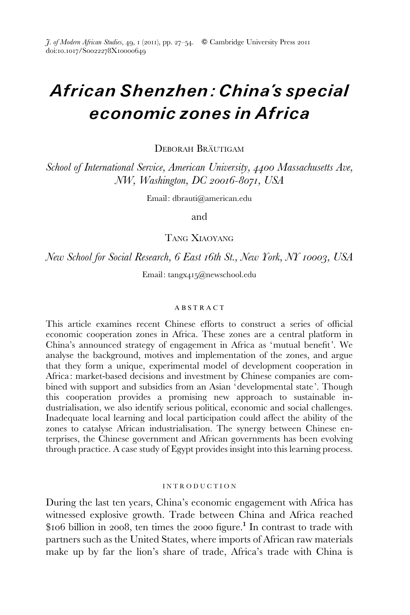# African Shenzhen : China's special economic zones in Africa

DEBORAH BRÄUTIGAM

School of International Service, American University, 4400 Massachusetts Ave, NW, Washington, DC 20016-8071, USA

Email: dbrauti@american.edu

and

TANG XIAOYANG

New School for Social Research, 6 East 16th St., New York, NY 10003, USA

Email: tangx415@newschool.edu

#### ABSTRACT

This article examines recent Chinese efforts to construct a series of official economic cooperation zones in Africa. These zones are a central platform in China's announced strategy of engagement in Africa as 'mutual benefit'. We analyse the background, motives and implementation of the zones, and argue that they form a unique, experimental model of development cooperation in Africa: market-based decisions and investment by Chinese companies are combined with support and subsidies from an Asian 'developmental state'. Though this cooperation provides a promising new approach to sustainable industrialisation, we also identify serious political, economic and social challenges. Inadequate local learning and local participation could affect the ability of the zones to catalyse African industrialisation. The synergy between Chinese enterprises, the Chinese government and African governments has been evolving through practice. A case study of Egypt provides insight into this learning process.

#### INTRODUCTION

During the last ten years, China's economic engagement with Africa has witnessed explosive growth. Trade between China and Africa reached  $$106$  billion in 2008, ten times the 2000 figure.<sup>1</sup> In contrast to trade with partners such as the United States, where imports of African raw materials make up by far the lion's share of trade, Africa's trade with China is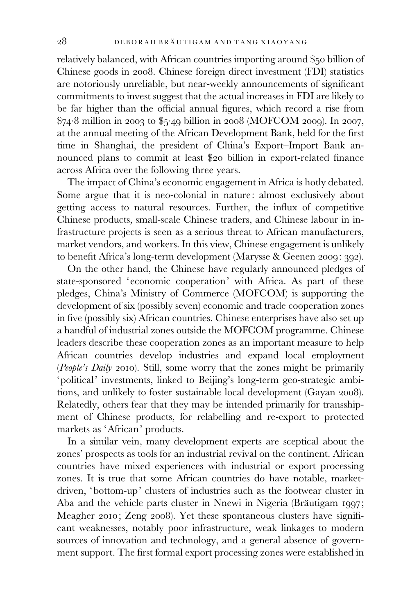relatively balanced, with African countries importing around \$50 billion of Chinese goods in 2008. Chinese foreign direct investment (FDI) statistics are notoriously unreliable, but near-weekly announcements of significant commitments to invest suggest that the actual increases in FDI are likely to be far higher than the official annual figures, which record a rise from \$74. 8 million in 2003 to \$5. 49 billion in 2008 (MOFCOM 2009). In 2007, at the annual meeting of the African Development Bank, held for the first time in Shanghai, the president of China's Export–Import Bank announced plans to commit at least \$20 billion in export-related finance across Africa over the following three years.

The impact of China's economic engagement in Africa is hotly debated. Some argue that it is neo-colonial in nature: almost exclusively about getting access to natural resources. Further, the influx of competitive Chinese products, small-scale Chinese traders, and Chinese labour in infrastructure projects is seen as a serious threat to African manufacturers, market vendors, and workers. In this view, Chinese engagement is unlikely to benefit Africa's long-term development (Marysse & Geenen 2009: 392).

On the other hand, the Chinese have regularly announced pledges of state-sponsored 'economic cooperation' with Africa. As part of these pledges, China's Ministry of Commerce (MOFCOM) is supporting the development of six (possibly seven) economic and trade cooperation zones in five (possibly six) African countries. Chinese enterprises have also set up a handful of industrial zones outside the MOFCOM programme. Chinese leaders describe these cooperation zones as an important measure to help African countries develop industries and expand local employment (People's Daily 2010). Still, some worry that the zones might be primarily 'political' investments, linked to Beijing's long-term geo-strategic ambitions, and unlikely to foster sustainable local development (Gayan 2008). Relatedly, others fear that they may be intended primarily for transshipment of Chinese products, for relabelling and re-export to protected markets as 'African' products.

In a similar vein, many development experts are sceptical about the zones' prospects as tools for an industrial revival on the continent. African countries have mixed experiences with industrial or export processing zones. It is true that some African countries do have notable, marketdriven, 'bottom-up' clusters of industries such as the footwear cluster in Aba and the vehicle parts cluster in Nnewi in Nigeria (Bräutigam 1997; Meagher 2010; Zeng 2008). Yet these spontaneous clusters have significant weaknesses, notably poor infrastructure, weak linkages to modern sources of innovation and technology, and a general absence of government support. The first formal export processing zones were established in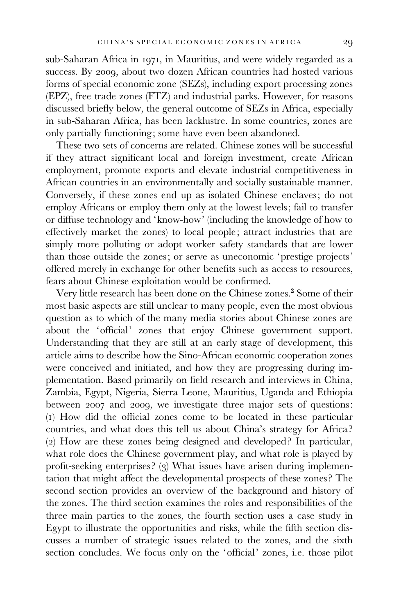sub-Saharan Africa in 1971, in Mauritius, and were widely regarded as a success. By 2009, about two dozen African countries had hosted various forms of special economic zone (SEZs), including export processing zones (EPZ), free trade zones (FTZ) and industrial parks. However, for reasons discussed briefly below, the general outcome of SEZs in Africa, especially in sub-Saharan Africa, has been lacklustre. In some countries, zones are only partially functioning; some have even been abandoned.

These two sets of concerns are related. Chinese zones will be successful if they attract significant local and foreign investment, create African employment, promote exports and elevate industrial competitiveness in African countries in an environmentally and socially sustainable manner. Conversely, if these zones end up as isolated Chinese enclaves; do not employ Africans or employ them only at the lowest levels; fail to transfer or diffuse technology and 'know-how' (including the knowledge of how to effectively market the zones) to local people; attract industries that are simply more polluting or adopt worker safety standards that are lower than those outside the zones; or serve as uneconomic 'prestige projects' offered merely in exchange for other benefits such as access to resources, fears about Chinese exploitation would be confirmed.

Very little research has been done on the Chinese zones.<sup>2</sup> Some of their most basic aspects are still unclear to many people, even the most obvious question as to which of the many media stories about Chinese zones are about the 'official' zones that enjoy Chinese government support. Understanding that they are still at an early stage of development, this article aims to describe how the Sino-African economic cooperation zones were conceived and initiated, and how they are progressing during implementation. Based primarily on field research and interviews in China, Zambia, Egypt, Nigeria, Sierra Leone, Mauritius, Uganda and Ethiopia between 2007 and 2009, we investigate three major sets of questions: (1) How did the official zones come to be located in these particular countries, and what does this tell us about China's strategy for Africa ?  $(2)$  How are these zones being designed and developed? In particular, what role does the Chinese government play, and what role is played by profit-seeking enterprises ? (3) What issues have arisen during implementation that might affect the developmental prospects of these zones ? The second section provides an overview of the background and history of the zones. The third section examines the roles and responsibilities of the three main parties to the zones, the fourth section uses a case study in Egypt to illustrate the opportunities and risks, while the fifth section discusses a number of strategic issues related to the zones, and the sixth section concludes. We focus only on the 'official' zones, i.e. those pilot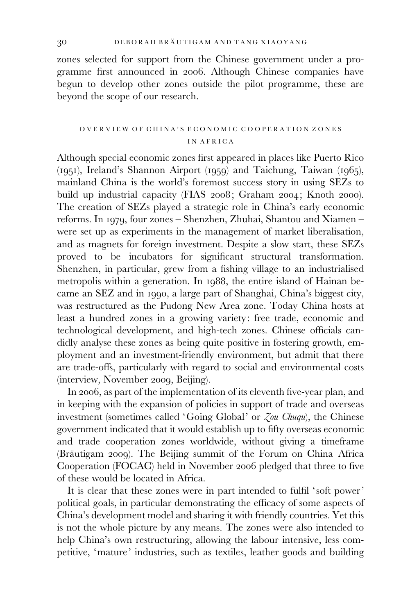zones selected for support from the Chinese government under a programme first announced in 2006. Although Chinese companies have begun to develop other zones outside the pilot programme, these are beyond the scope of our research.

## OVERVIEW OF CHINA'S ECONOMIC COOPERATION ZONES IN AFRICA

Although special economic zones first appeared in places like Puerto Rico (1951), Ireland's Shannon Airport (1959) and Taichung, Taiwan (1965), mainland China is the world's foremost success story in using SEZs to build up industrial capacity (FIAS 2008; Graham 2004; Knoth 2000). The creation of SEZs played a strategic role in China's early economic reforms. In 1979, four zones – Shenzhen, Zhuhai, Shantou and Xiamen – were set up as experiments in the management of market liberalisation, and as magnets for foreign investment. Despite a slow start, these SEZs proved to be incubators for significant structural transformation. Shenzhen, in particular, grew from a fishing village to an industrialised metropolis within a generation. In 1988, the entire island of Hainan became an SEZ and in 1990, a large part of Shanghai, China's biggest city, was restructured as the Pudong New Area zone. Today China hosts at least a hundred zones in a growing variety: free trade, economic and technological development, and high-tech zones. Chinese officials candidly analyse these zones as being quite positive in fostering growth, employment and an investment-friendly environment, but admit that there are trade-offs, particularly with regard to social and environmental costs (interview, November 2009, Beijing).

In 2006, as part of the implementation of its eleventh five-year plan, and in keeping with the expansion of policies in support of trade and overseas investment (sometimes called 'Going Global' or  $\zeta_{0}$  Chuqu), the Chinese government indicated that it would establish up to fifty overseas economic and trade cooperation zones worldwide, without giving a timeframe (Bräutigam 2009). The Beijing summit of the Forum on China-Africa Cooperation (FOCAC) held in November 2006 pledged that three to five of these would be located in Africa.

It is clear that these zones were in part intended to fulfil 'soft power' political goals, in particular demonstrating the efficacy of some aspects of China's development model and sharing it with friendly countries. Yet this is not the whole picture by any means. The zones were also intended to help China's own restructuring, allowing the labour intensive, less competitive, 'mature' industries, such as textiles, leather goods and building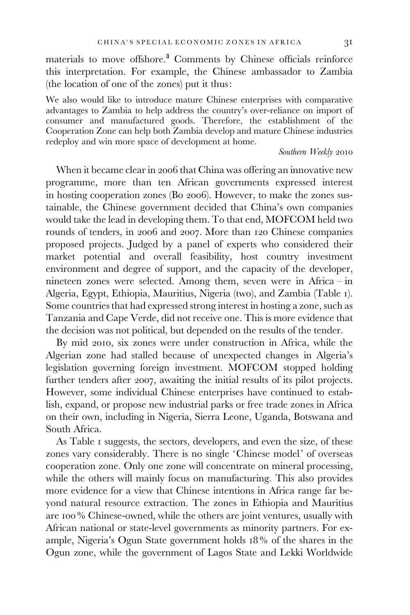materials to move offshore.<sup>3</sup> Comments by Chinese officials reinforce this interpretation. For example, the Chinese ambassador to Zambia (the location of one of the zones) put it thus:

We also would like to introduce mature Chinese enterprises with comparative advantages to Zambia to help address the country's over-reliance on import of consumer and manufactured goods. Therefore, the establishment of the Cooperation Zone can help both Zambia develop and mature Chinese industries redeploy and win more space of development at home.

### Southern Weekly 2010

When it became clear in 2006 that China was offering an innovative new programme, more than ten African governments expressed interest in hosting cooperation zones (Bo 2006). However, to make the zones sustainable, the Chinese government decided that China's own companies would take the lead in developing them. To that end, MOFCOM held two rounds of tenders, in 2006 and 2007. More than 120 Chinese companies proposed projects. Judged by a panel of experts who considered their market potential and overall feasibility, host country investment environment and degree of support, and the capacity of the developer, nineteen zones were selected. Among them, seven were in Africa – in Algeria, Egypt, Ethiopia, Mauritius, Nigeria (two), and Zambia (Table 1). Some countries that had expressed strong interest in hosting a zone, such as Tanzania and Cape Verde, did not receive one. This is more evidence that the decision was not political, but depended on the results of the tender.

By mid 2010, six zones were under construction in Africa, while the Algerian zone had stalled because of unexpected changes in Algeria's legislation governing foreign investment. MOFCOM stopped holding further tenders after 2007, awaiting the initial results of its pilot projects. However, some individual Chinese enterprises have continued to establish, expand, or propose new industrial parks or free trade zones in Africa on their own, including in Nigeria, Sierra Leone, Uganda, Botswana and South Africa.

As Table 1 suggests, the sectors, developers, and even the size, of these zones vary considerably. There is no single 'Chinese model' of overseas cooperation zone. Only one zone will concentrate on mineral processing, while the others will mainly focus on manufacturing. This also provides more evidence for a view that Chinese intentions in Africa range far beyond natural resource extraction. The zones in Ethiopia and Mauritius are 100% Chinese-owned, while the others are joint ventures, usually with African national or state-level governments as minority partners. For example, Nigeria's Ogun State government holds 18% of the shares in the Ogun zone, while the government of Lagos State and Lekki Worldwide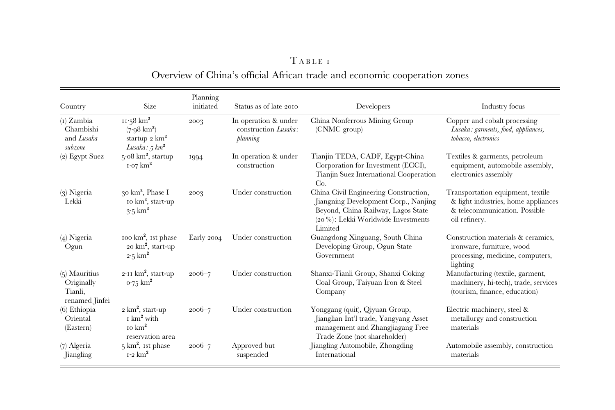| Country                                                    | <b>Size</b>                                                                                          | Planning<br>initiated | Status as of late 2010                                   | Developers                                                                                                                                                            | Industry focus                                                                                                             |
|------------------------------------------------------------|------------------------------------------------------------------------------------------------------|-----------------------|----------------------------------------------------------|-----------------------------------------------------------------------------------------------------------------------------------------------------------------------|----------------------------------------------------------------------------------------------------------------------------|
| $(i)$ Zambia<br>Chambishi<br>and Lusaka<br>subzone         | $11.58$ km <sup>2</sup><br>$(7.98 \text{ km}^2)$<br>startup $2 \text{ km}^2$<br>Lusaka: $5 \, km^2$  | 2003                  | In operation & under<br>construction Lusaka:<br>planning | China Nonferrous Mining Group<br>(CNMC group)                                                                                                                         | Copper and cobalt processing<br>Lusaka: garments, food, appliances,<br>tobacco, electronics                                |
| $(2)$ Egypt Suez                                           | $5.08 \text{ km}^2$ , startup<br>$1.07 \text{ km}^2$                                                 | 1994                  | In operation & under<br>construction                     | Tianjin TEDA, CADF, Egypt-China<br>Corporation for Investment (ECCI),<br>Tianjin Suez International Cooperation<br>Co.                                                | Textiles & garments, petroleum<br>equipment, automobile assembly,<br>electronics assembly                                  |
| $(3)$ Nigeria<br>Lekki                                     | $30 \text{ km}^2$ , Phase I<br>to km <sup>2</sup> , start-up<br>$3.5 \text{ km}^2$                   | 2003                  | Under construction                                       | China Civil Engineering Construction,<br>Jiangning Development Corp., Nanjing<br>Beyond, China Railway, Lagos State<br>(20 %): Lekki Worldwide Investments<br>Limited | Transportation equipment, textile<br>& light industries, home appliances<br>& telecommunication. Possible<br>oil refinery. |
| $(4)$ Nigeria<br>Ogun                                      | $\frac{1}{2}$ too km <sup>2</sup> , ist phase<br>$20 \text{ km}^2$ , start-up<br>$2.5 \text{ km}^2$  | Early $2004$          | Under construction                                       | Guangdong Xinguang, South China<br>Developing Group, Ogun State<br>Government                                                                                         | Construction materials & ceramics,<br>ironware, furniture, wood<br>processing, medicine, computers,<br>lighting            |
| $(5)$ Mauritius<br>Originally<br>Tianli,<br>renamed Jinfei | $2.11 \text{ km}^2$ , start-up<br>$0.75$ km <sup>2</sup>                                             | $2006 - 7$            | Under construction                                       | Shanxi-Tianli Group, Shanxi Coking<br>Coal Group, Taiyuan Iron & Steel<br>Company                                                                                     | Manufacturing (textile, garment,<br>machinery, hi-tech), trade, services<br>(tourism, finance, education)                  |
| $(6)$ Ethiopia<br>Oriental<br>(Eastern)                    | $2 \text{ km}^2$ , start-up<br>$\frac{1}{2}$ km <sup>2</sup> with<br>$\log km^2$<br>reservation area | $2006 - 7$            | Under construction                                       | Yonggang (quit), Qiyuan Group,<br>Jianglian Int'l trade, Yangyang Asset<br>management and Zhangjiagang Free<br>Trade Zone (not shareholder)                           | Electric machinery, steel &<br>metallurgy and construction<br>materials                                                    |
| $(7)$ Algeria<br><b>Jiangling</b>                          | $5 \text{ km}^2$ , ist phase<br>$I2$ km <sup>2</sup>                                                 | $2006 - 7$            | Approved but<br>suspended                                | <b>Jiangling Automobile, Zhongding</b><br>International                                                                                                               | Automobile assembly, construction<br>materials                                                                             |

# TABLE 1 Overview of China's official African trade and economic cooperation zones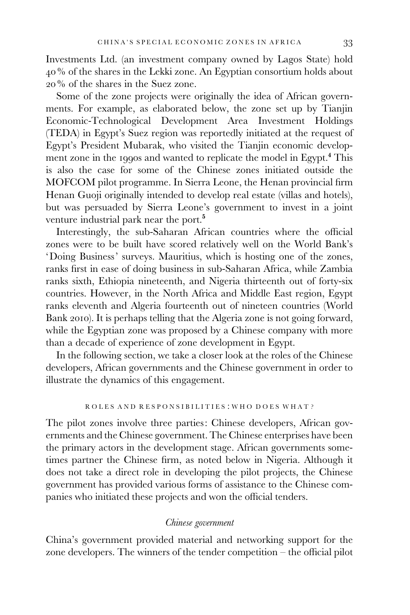Investments Ltd. (an investment company owned by Lagos State) hold 40% of the shares in the Lekki zone. An Egyptian consortium holds about 20% of the shares in the Suez zone.

Some of the zone projects were originally the idea of African governments. For example, as elaborated below, the zone set up by Tianjin Economic-Technological Development Area Investment Holdings (TEDA) in Egypt's Suez region was reportedly initiated at the request of Egypt's President Mubarak, who visited the Tianjin economic development zone in the 1990s and wanted to replicate the model in Egypt.<sup>4</sup> This is also the case for some of the Chinese zones initiated outside the MOFCOM pilot programme. In Sierra Leone, the Henan provincial firm Henan Guoji originally intended to develop real estate (villas and hotels), but was persuaded by Sierra Leone's government to invest in a joint venture industrial park near the port.<sup>5</sup>

Interestingly, the sub-Saharan African countries where the official zones were to be built have scored relatively well on the World Bank's 'Doing Business' surveys. Mauritius, which is hosting one of the zones, ranks first in ease of doing business in sub-Saharan Africa, while Zambia ranks sixth, Ethiopia nineteenth, and Nigeria thirteenth out of forty-six countries. However, in the North Africa and Middle East region, Egypt ranks eleventh and Algeria fourteenth out of nineteen countries (World Bank 2010). It is perhaps telling that the Algeria zone is not going forward, while the Egyptian zone was proposed by a Chinese company with more than a decade of experience of zone development in Egypt.

In the following section, we take a closer look at the roles of the Chinese developers, African governments and the Chinese government in order to illustrate the dynamics of this engagement.

#### ROLES AND RESPONSIBILITIES : WHO DOES WHAT ?

The pilot zones involve three parties: Chinese developers, African governments and the Chinese government. The Chinese enterprises have been the primary actors in the development stage. African governments sometimes partner the Chinese firm, as noted below in Nigeria. Although it does not take a direct role in developing the pilot projects, the Chinese government has provided various forms of assistance to the Chinese companies who initiated these projects and won the official tenders.

#### Chinese government

China's government provided material and networking support for the zone developers. The winners of the tender competition – the official pilot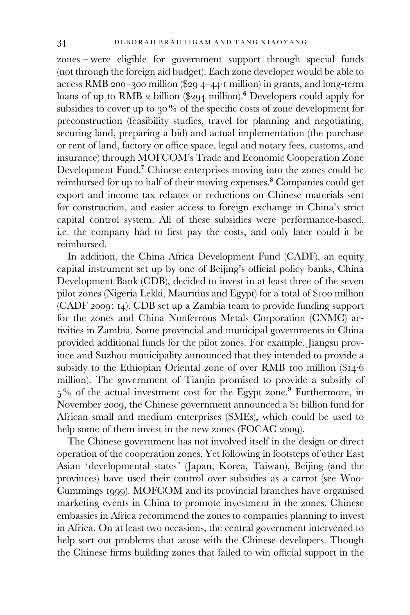zones – were eligible for government support through special funds (not through the foreign aid budget). Each zone developer would be able to access RMB 200–300 million (\$29.4–44.1 million) in grants, and long-term loans of up to RMB 2 billion (\$294 million).<sup>6</sup> Developers could apply for subsidies to cover up to 30% of the specific costs of zone development for preconstruction (feasibility studies, travel for planning and negotiating, securing land, preparing a bid) and actual implementation (the purchase or rent of land, factory or office space, legal and notary fees, customs, and insurance) through MOFCOM's Trade and Economic Cooperation Zone Development Fund.<sup>7</sup> Chinese enterprises moving into the zones could be reimbursed for up to half of their moving expenses.<sup>8</sup> Companies could get export and income tax rebates or reductions on Chinese materials sent for construction, and easier access to foreign exchange in China's strict capital control system. All of these subsidies were performance-based, i.e. the company had to first pay the costs, and only later could it be reimbursed.

In addition, the China Africa Development Fund (CADF), an equity capital instrument set up by one of Beijing's official policy banks, China Development Bank (CDB), decided to invest in at least three of the seven pilot zones (Nigeria Lekki, Mauritius and Egypt) for a total of \$100 million (CADF 2009: 14). CDB set up a Zambia team to provide funding support for the zones and China Nonferrous Metals Corporation (CNMC) activities in Zambia. Some provincial and municipal governments in China provided additional funds for the pilot zones. For example, Jiangsu province and Suzhou municipality announced that they intended to provide a subsidy to the Ethiopian Oriental zone of over RMB 100 million (\$14.6) million). The government of Tianjin promised to provide a subsidy of 5% of the actual investment cost for the Egypt zone.<sup>9</sup> Furthermore, in November 2009, the Chinese government announced a \$1 billion fund for African small and medium enterprises (SMEs), which could be used to help some of them invest in the new zones (FOCAC 2009).

The Chinese government has not involved itself in the design or direct operation of the cooperation zones. Yet following in footsteps of other East Asian 'developmental states' (Japan, Korea, Taiwan), Beijing (and the provinces) have used their control over subsidies as a carrot (see Woo-Cummings 1999). MOFCOM and its provincial branches have organised marketing events in China to promote investment in the zones. Chinese embassies in Africa recommend the zones to companies planning to invest in Africa. On at least two occasions, the central government intervened to help sort out problems that arose with the Chinese developers. Though the Chinese firms building zones that failed to win official support in the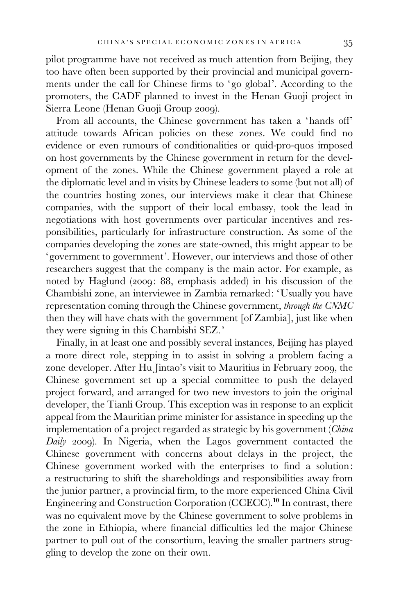pilot programme have not received as much attention from Beijing, they too have often been supported by their provincial and municipal governments under the call for Chinese firms to 'go global'. According to the promoters, the CADF planned to invest in the Henan Guoji project in Sierra Leone (Henan Guoji Group 2009).

From all accounts, the Chinese government has taken a 'hands off' attitude towards African policies on these zones. We could find no evidence or even rumours of conditionalities or quid-pro-quos imposed on host governments by the Chinese government in return for the development of the zones. While the Chinese government played a role at the diplomatic level and in visits by Chinese leaders to some (but not all) of the countries hosting zones, our interviews make it clear that Chinese companies, with the support of their local embassy, took the lead in negotiations with host governments over particular incentives and responsibilities, particularly for infrastructure construction. As some of the companies developing the zones are state-owned, this might appear to be 'government to government'. However, our interviews and those of other researchers suggest that the company is the main actor. For example, as noted by Haglund (2009: 88, emphasis added) in his discussion of the Chambishi zone, an interviewee in Zambia remarked: 'Usually you have representation coming through the Chinese government, through the CNMC then they will have chats with the government [of Zambia], just like when they were signing in this Chambishi SEZ.'

Finally, in at least one and possibly several instances, Beijing has played a more direct role, stepping in to assist in solving a problem facing a zone developer. After Hu Jintao's visit to Mauritius in February 2009, the Chinese government set up a special committee to push the delayed project forward, and arranged for two new investors to join the original developer, the Tianli Group. This exception was in response to an explicit appeal from the Mauritian prime minister for assistance in speeding up the implementation of a project regarded as strategic by his government (China Daily 2009). In Nigeria, when the Lagos government contacted the Chinese government with concerns about delays in the project, the Chinese government worked with the enterprises to find a solution: a restructuring to shift the shareholdings and responsibilities away from the junior partner, a provincial firm, to the more experienced China Civil Engineering and Construction Corporation (CCECC).<sup>10</sup> In contrast, there was no equivalent move by the Chinese government to solve problems in the zone in Ethiopia, where financial difficulties led the major Chinese partner to pull out of the consortium, leaving the smaller partners struggling to develop the zone on their own.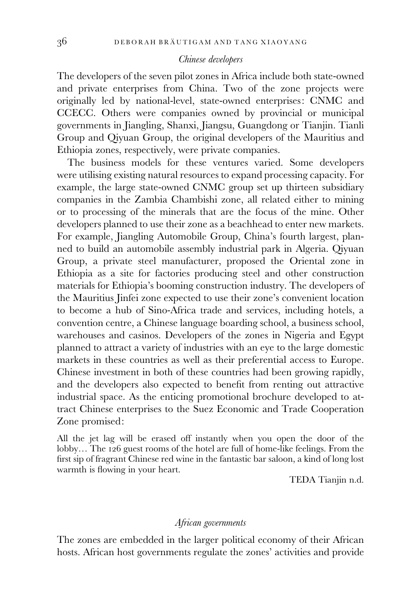#### Chinese developers

The developers of the seven pilot zones in Africa include both state-owned and private enterprises from China. Two of the zone projects were originally led by national-level, state-owned enterprises: CNMC and CCECC. Others were companies owned by provincial or municipal governments in Jiangling, Shanxi, Jiangsu, Guangdong or Tianjin. Tianli Group and Qiyuan Group, the original developers of the Mauritius and Ethiopia zones, respectively, were private companies.

The business models for these ventures varied. Some developers were utilising existing natural resources to expand processing capacity. For example, the large state-owned CNMC group set up thirteen subsidiary companies in the Zambia Chambishi zone, all related either to mining or to processing of the minerals that are the focus of the mine. Other developers planned to use their zone as a beachhead to enter new markets. For example, Jiangling Automobile Group, China's fourth largest, planned to build an automobile assembly industrial park in Algeria. Qiyuan Group, a private steel manufacturer, proposed the Oriental zone in Ethiopia as a site for factories producing steel and other construction materials for Ethiopia's booming construction industry. The developers of the Mauritius Jinfei zone expected to use their zone's convenient location to become a hub of Sino-Africa trade and services, including hotels, a convention centre, a Chinese language boarding school, a business school, warehouses and casinos. Developers of the zones in Nigeria and Egypt planned to attract a variety of industries with an eye to the large domestic markets in these countries as well as their preferential access to Europe. Chinese investment in both of these countries had been growing rapidly, and the developers also expected to benefit from renting out attractive industrial space. As the enticing promotional brochure developed to attract Chinese enterprises to the Suez Economic and Trade Cooperation Zone promised:

All the jet lag will be erased off instantly when you open the door of the lobby… The 126 guest rooms of the hotel are full of home-like feelings. From the first sip of fragrant Chinese red wine in the fantastic bar saloon, a kind of long lost warmth is flowing in your heart.

TEDA Tianjin n.d.

#### African governments

The zones are embedded in the larger political economy of their African hosts. African host governments regulate the zones' activities and provide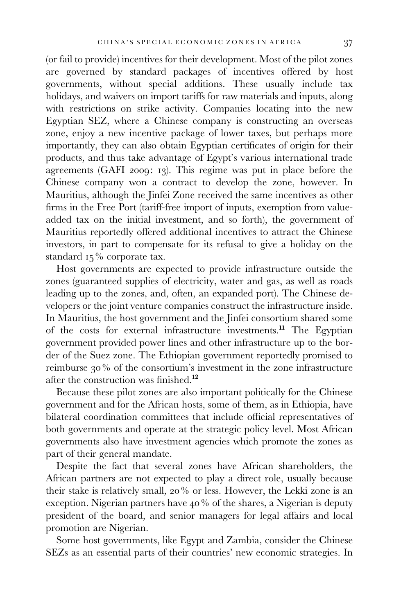(or fail to provide) incentives for their development. Most of the pilot zones are governed by standard packages of incentives offered by host governments, without special additions. These usually include tax holidays, and waivers on import tariffs for raw materials and inputs, along with restrictions on strike activity. Companies locating into the new Egyptian SEZ, where a Chinese company is constructing an overseas zone, enjoy a new incentive package of lower taxes, but perhaps more importantly, they can also obtain Egyptian certificates of origin for their products, and thus take advantage of Egypt's various international trade agreements (GAFI 2009: 13). This regime was put in place before the Chinese company won a contract to develop the zone, however. In Mauritius, although the Jinfei Zone received the same incentives as other firms in the Free Port (tariff-free import of inputs, exemption from valueadded tax on the initial investment, and so forth), the government of Mauritius reportedly offered additional incentives to attract the Chinese investors, in part to compensate for its refusal to give a holiday on the standard 15% corporate tax.

Host governments are expected to provide infrastructure outside the zones (guaranteed supplies of electricity, water and gas, as well as roads leading up to the zones, and, often, an expanded port). The Chinese developers or the joint venture companies construct the infrastructure inside. In Mauritius, the host government and the Jinfei consortium shared some of the costs for external infrastructure investments.<sup>11</sup> The Egyptian government provided power lines and other infrastructure up to the border of the Suez zone. The Ethiopian government reportedly promised to reimburse 30% of the consortium's investment in the zone infrastructure after the construction was finished.<sup>12</sup>

Because these pilot zones are also important politically for the Chinese government and for the African hosts, some of them, as in Ethiopia, have bilateral coordination committees that include official representatives of both governments and operate at the strategic policy level. Most African governments also have investment agencies which promote the zones as part of their general mandate.

Despite the fact that several zones have African shareholders, the African partners are not expected to play a direct role, usually because their stake is relatively small, 20% or less. However, the Lekki zone is an exception. Nigerian partners have 40% of the shares, a Nigerian is deputy president of the board, and senior managers for legal affairs and local promotion are Nigerian.

Some host governments, like Egypt and Zambia, consider the Chinese SEZs as an essential parts of their countries' new economic strategies. In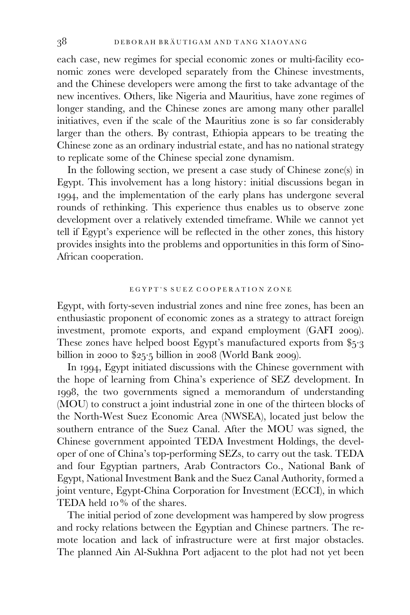each case, new regimes for special economic zones or multi-facility economic zones were developed separately from the Chinese investments, and the Chinese developers were among the first to take advantage of the new incentives. Others, like Nigeria and Mauritius, have zone regimes of longer standing, and the Chinese zones are among many other parallel initiatives, even if the scale of the Mauritius zone is so far considerably larger than the others. By contrast, Ethiopia appears to be treating the Chinese zone as an ordinary industrial estate, and has no national strategy to replicate some of the Chinese special zone dynamism.

In the following section, we present a case study of Chinese zone(s) in Egypt. This involvement has a long history: initial discussions began in 1994, and the implementation of the early plans has undergone several rounds of rethinking. This experience thus enables us to observe zone development over a relatively extended timeframe. While we cannot yet tell if Egypt's experience will be reflected in the other zones, this history provides insights into the problems and opportunities in this form of Sino-African cooperation.

#### EGYPT'S SUEZ COOPERATION ZONE

Egypt, with forty-seven industrial zones and nine free zones, has been an enthusiastic proponent of economic zones as a strategy to attract foreign investment, promote exports, and expand employment (GAFI 2009). These zones have helped boost Egypt's manufactured exports from \$5.3 billion in 2000 to \$25. 5 billion in 2008 (World Bank 2009).

In 1994, Egypt initiated discussions with the Chinese government with the hope of learning from China's experience of SEZ development. In 1998, the two governments signed a memorandum of understanding (MOU) to construct a joint industrial zone in one of the thirteen blocks of the North-West Suez Economic Area (NWSEA), located just below the southern entrance of the Suez Canal. After the MOU was signed, the Chinese government appointed TEDA Investment Holdings, the developer of one of China's top-performing SEZs, to carry out the task. TEDA and four Egyptian partners, Arab Contractors Co., National Bank of Egypt, National Investment Bank and the Suez Canal Authority, formed a joint venture, Egypt-China Corporation for Investment (ECCI), in which TEDA held 10% of the shares.

The initial period of zone development was hampered by slow progress and rocky relations between the Egyptian and Chinese partners. The remote location and lack of infrastructure were at first major obstacles. The planned Ain Al-Sukhna Port adjacent to the plot had not yet been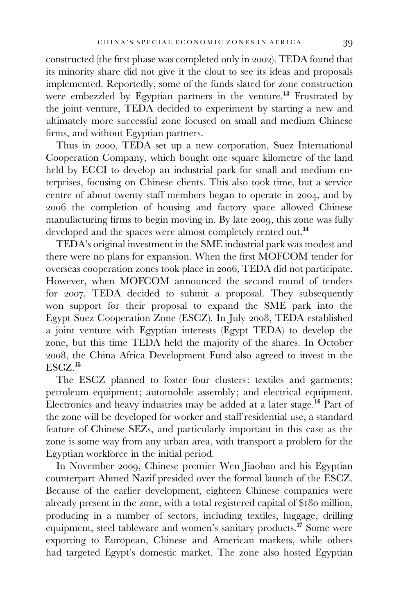constructed (the first phase was completed only in 2002). TEDA found that its minority share did not give it the clout to see its ideas and proposals implemented. Reportedly, some of the funds slated for zone construction were embezzled by Egyptian partners in the venture.<sup>13</sup> Frustrated by the joint venture, TEDA decided to experiment by starting a new and ultimately more successful zone focused on small and medium Chinese firms, and without Egyptian partners.

Thus in 2000, TEDA set up a new corporation, Suez International Cooperation Company, which bought one square kilometre of the land held by ECCI to develop an industrial park for small and medium enterprises, focusing on Chinese clients. This also took time, but a service centre of about twenty staff members began to operate in 2004, and by 2006 the completion of housing and factory space allowed Chinese manufacturing firms to begin moving in. By late 2009, this zone was fully developed and the spaces were almost completely rented out.<sup>14</sup>

TEDA's original investment in the SME industrial park was modest and there were no plans for expansion. When the first MOFCOM tender for overseas cooperation zones took place in 2006, TEDA did not participate. However, when MOFCOM announced the second round of tenders for 2007, TEDA decided to submit a proposal. They subsequently won support for their proposal to expand the SME park into the Egypt Suez Cooperation Zone (ESCZ). In July 2008, TEDA established a joint venture with Egyptian interests (Egypt TEDA) to develop the zone, but this time TEDA held the majority of the shares. In October 2008, the China Africa Development Fund also agreed to invest in the ESCZ.<sup>15</sup>

The ESCZ planned to foster four clusters: textiles and garments; petroleum equipment; automobile assembly; and electrical equipment. Electronics and heavy industries may be added at a later stage.<sup>16</sup> Part of the zone will be developed for worker and staff residential use, a standard feature of Chinese SEZs, and particularly important in this case as the zone is some way from any urban area, with transport a problem for the Egyptian workforce in the initial period.

In November 2009, Chinese premier Wen Jiaobao and his Egyptian counterpart Ahmed Nazif presided over the formal launch of the ESCZ. Because of the earlier development, eighteen Chinese companies were already present in the zone, with a total registered capital of \$180 million, producing in a number of sectors, including textiles, luggage, drilling equipment, steel tableware and women's sanitary products.<sup>17</sup> Some were exporting to European, Chinese and American markets, while others had targeted Egypt's domestic market. The zone also hosted Egyptian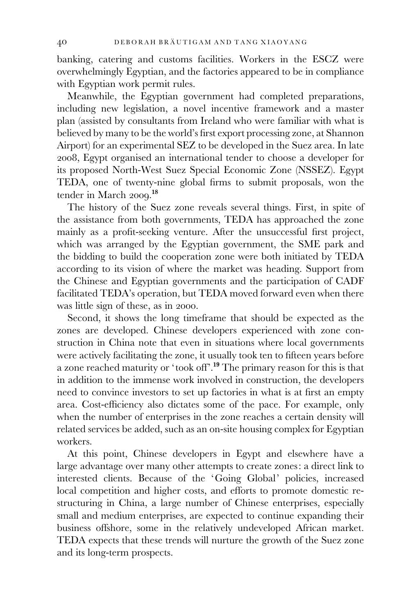banking, catering and customs facilities. Workers in the ESCZ were overwhelmingly Egyptian, and the factories appeared to be in compliance with Egyptian work permit rules.

Meanwhile, the Egyptian government had completed preparations, including new legislation, a novel incentive framework and a master plan (assisted by consultants from Ireland who were familiar with what is believed by many to be the world's first export processing zone, at Shannon Airport) for an experimental SEZ to be developed in the Suez area. In late 2008, Egypt organised an international tender to choose a developer for its proposed North-West Suez Special Economic Zone (NSSEZ). Egypt TEDA, one of twenty-nine global firms to submit proposals, won the tender in March 2009.<sup>18</sup>

The history of the Suez zone reveals several things. First, in spite of the assistance from both governments, TEDA has approached the zone mainly as a profit-seeking venture. After the unsuccessful first project, which was arranged by the Egyptian government, the SME park and the bidding to build the cooperation zone were both initiated by TEDA according to its vision of where the market was heading. Support from the Chinese and Egyptian governments and the participation of CADF facilitated TEDA's operation, but TEDA moved forward even when there was little sign of these, as in 2000.

Second, it shows the long timeframe that should be expected as the zones are developed. Chinese developers experienced with zone construction in China note that even in situations where local governments were actively facilitating the zone, it usually took ten to fifteen years before a zone reached maturity or 'took off'.<sup>19</sup> The primary reason for this is that in addition to the immense work involved in construction, the developers need to convince investors to set up factories in what is at first an empty area. Cost-efficiency also dictates some of the pace. For example, only when the number of enterprises in the zone reaches a certain density will related services be added, such as an on-site housing complex for Egyptian workers.

At this point, Chinese developers in Egypt and elsewhere have a large advantage over many other attempts to create zones: a direct link to interested clients. Because of the 'Going Global' policies, increased local competition and higher costs, and efforts to promote domestic restructuring in China, a large number of Chinese enterprises, especially small and medium enterprises, are expected to continue expanding their business offshore, some in the relatively undeveloped African market. TEDA expects that these trends will nurture the growth of the Suez zone and its long-term prospects.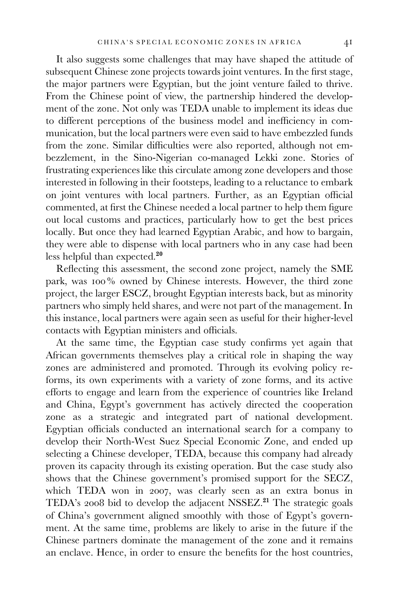It also suggests some challenges that may have shaped the attitude of subsequent Chinese zone projects towards joint ventures. In the first stage, the major partners were Egyptian, but the joint venture failed to thrive. From the Chinese point of view, the partnership hindered the development of the zone. Not only was TEDA unable to implement its ideas due to different perceptions of the business model and inefficiency in communication, but the local partners were even said to have embezzled funds from the zone. Similar difficulties were also reported, although not embezzlement, in the Sino-Nigerian co-managed Lekki zone. Stories of frustrating experiences like this circulate among zone developers and those interested in following in their footsteps, leading to a reluctance to embark on joint ventures with local partners. Further, as an Egyptian official commented, at first the Chinese needed a local partner to help them figure out local customs and practices, particularly how to get the best prices locally. But once they had learned Egyptian Arabic, and how to bargain, they were able to dispense with local partners who in any case had been less helpful than expected.<sup>20</sup>

Reflecting this assessment, the second zone project, namely the SME park, was 100% owned by Chinese interests. However, the third zone project, the larger ESCZ, brought Egyptian interests back, but as minority partners who simply held shares, and were not part of the management. In this instance, local partners were again seen as useful for their higher-level contacts with Egyptian ministers and officials.

At the same time, the Egyptian case study confirms yet again that African governments themselves play a critical role in shaping the way zones are administered and promoted. Through its evolving policy reforms, its own experiments with a variety of zone forms, and its active efforts to engage and learn from the experience of countries like Ireland and China, Egypt's government has actively directed the cooperation zone as a strategic and integrated part of national development. Egyptian officials conducted an international search for a company to develop their North-West Suez Special Economic Zone, and ended up selecting a Chinese developer, TEDA, because this company had already proven its capacity through its existing operation. But the case study also shows that the Chinese government's promised support for the SECZ, which TEDA won in 2007, was clearly seen as an extra bonus in TEDA's 2008 bid to develop the adjacent NSSEZ.<sup>21</sup> The strategic goals of China's government aligned smoothly with those of Egypt's government. At the same time, problems are likely to arise in the future if the Chinese partners dominate the management of the zone and it remains an enclave. Hence, in order to ensure the benefits for the host countries,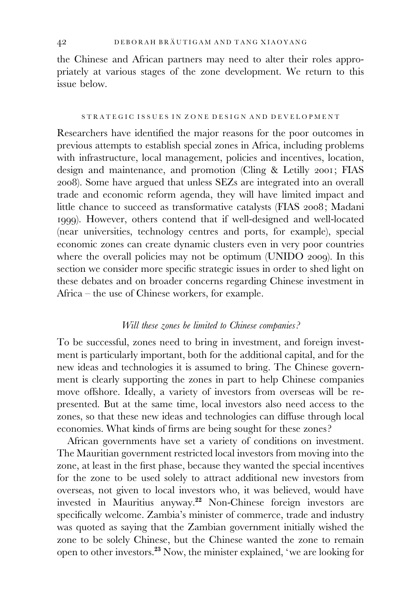the Chinese and African partners may need to alter their roles appropriately at various stages of the zone development. We return to this issue below.

#### STRATEGIC ISSUES IN ZONE DESIGN AND DEVELOPMENT

Researchers have identified the major reasons for the poor outcomes in previous attempts to establish special zones in Africa, including problems with infrastructure, local management, policies and incentives, location, design and maintenance, and promotion (Cling & Letilly 2001; FIAS 2008). Some have argued that unless SEZs are integrated into an overall trade and economic reform agenda, they will have limited impact and little chance to succeed as transformative catalysts (FIAS 2008; Madani 1999). However, others contend that if well-designed and well-located (near universities, technology centres and ports, for example), special economic zones can create dynamic clusters even in very poor countries where the overall policies may not be optimum (UNIDO 2009). In this section we consider more specific strategic issues in order to shed light on these debates and on broader concerns regarding Chinese investment in Africa – the use of Chinese workers, for example.

#### Will these zones be limited to Chinese companies?

To be successful, zones need to bring in investment, and foreign investment is particularly important, both for the additional capital, and for the new ideas and technologies it is assumed to bring. The Chinese government is clearly supporting the zones in part to help Chinese companies move offshore. Ideally, a variety of investors from overseas will be represented. But at the same time, local investors also need access to the zones, so that these new ideas and technologies can diffuse through local economies. What kinds of firms are being sought for these zones?

African governments have set a variety of conditions on investment. The Mauritian government restricted local investors from moving into the zone, at least in the first phase, because they wanted the special incentives for the zone to be used solely to attract additional new investors from overseas, not given to local investors who, it was believed, would have invested in Mauritius anyway.<sup>22</sup> Non-Chinese foreign investors are specifically welcome. Zambia's minister of commerce, trade and industry was quoted as saying that the Zambian government initially wished the zone to be solely Chinese, but the Chinese wanted the zone to remain open to other investors.<sup>23</sup> Now, the minister explained, 'we are looking for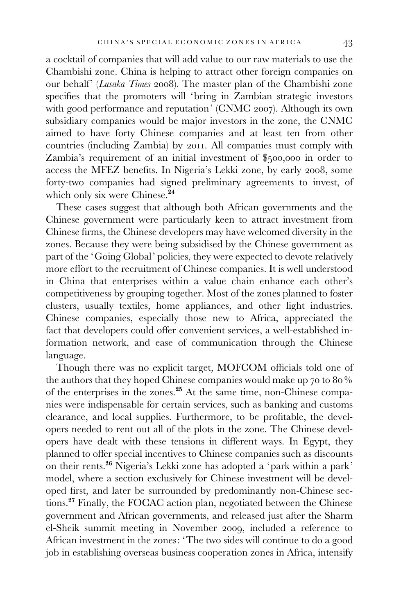a cocktail of companies that will add value to our raw materials to use the Chambishi zone. China is helping to attract other foreign companies on our behalf' (Lusaka Times 2008). The master plan of the Chambishi zone specifies that the promoters will 'bring in Zambian strategic investors with good performance and reputation' (CNMC 2007). Although its own subsidiary companies would be major investors in the zone, the CNMC aimed to have forty Chinese companies and at least ten from other countries (including Zambia) by 2011. All companies must comply with Zambia's requirement of an initial investment of \$500,000 in order to access the MFEZ benefits. In Nigeria's Lekki zone, by early 2008, some forty-two companies had signed preliminary agreements to invest, of which only six were Chinese.<sup>24</sup>

These cases suggest that although both African governments and the Chinese government were particularly keen to attract investment from Chinese firms, the Chinese developers may have welcomed diversity in the zones. Because they were being subsidised by the Chinese government as part of the 'Going Global' policies, they were expected to devote relatively more effort to the recruitment of Chinese companies. It is well understood in China that enterprises within a value chain enhance each other's competitiveness by grouping together. Most of the zones planned to foster clusters, usually textiles, home appliances, and other light industries. Chinese companies, especially those new to Africa, appreciated the fact that developers could offer convenient services, a well-established information network, and ease of communication through the Chinese language.

Though there was no explicit target, MOFCOM officials told one of the authors that they hoped Chinese companies would make up 70 to 80% of the enterprises in the zones.<sup>25</sup> At the same time, non-Chinese companies were indispensable for certain services, such as banking and customs clearance, and local supplies. Furthermore, to be profitable, the developers needed to rent out all of the plots in the zone. The Chinese developers have dealt with these tensions in different ways. In Egypt, they planned to offer special incentives to Chinese companies such as discounts on their rents.<sup>26</sup> Nigeria's Lekki zone has adopted a 'park within a park' model, where a section exclusively for Chinese investment will be developed first, and later be surrounded by predominantly non-Chinese sections.<sup>27</sup> Finally, the FOCAC action plan, negotiated between the Chinese government and African governments, and released just after the Sharm el-Sheik summit meeting in November 2009, included a reference to African investment in the zones: 'The two sides will continue to do a good job in establishing overseas business cooperation zones in Africa, intensify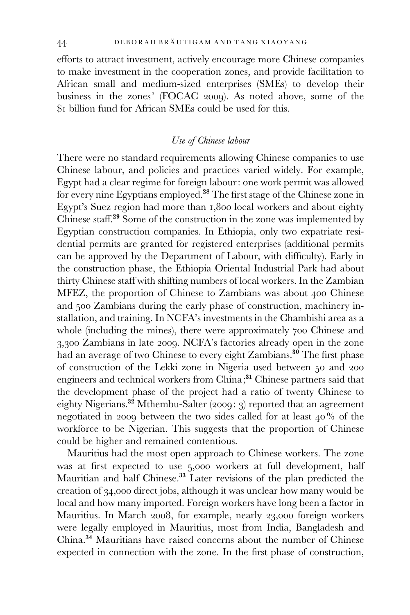efforts to attract investment, actively encourage more Chinese companies to make investment in the cooperation zones, and provide facilitation to African small and medium-sized enterprises (SMEs) to develop their business in the zones' (FOCAC 2009). As noted above, some of the \$1 billion fund for African SMEs could be used for this.

#### Use of Chinese labour

There were no standard requirements allowing Chinese companies to use Chinese labour, and policies and practices varied widely. For example, Egypt had a clear regime for foreign labour: one work permit was allowed for every nine Egyptians employed.<sup>28</sup> The first stage of the Chinese zone in Egypt's Suez region had more than 1,800 local workers and about eighty Chinese staff.<sup>29</sup> Some of the construction in the zone was implemented by Egyptian construction companies. In Ethiopia, only two expatriate residential permits are granted for registered enterprises (additional permits can be approved by the Department of Labour, with difficulty). Early in the construction phase, the Ethiopia Oriental Industrial Park had about thirty Chinese staff with shifting numbers of local workers. In the Zambian MFEZ, the proportion of Chinese to Zambians was about 400 Chinese and 500 Zambians during the early phase of construction, machinery installation, and training. In NCFA's investments in the Chambishi area as a whole (including the mines), there were approximately 700 Chinese and 3,300 Zambians in late 2009. NCFA's factories already open in the zone had an average of two Chinese to every eight Zambians.<sup>30</sup> The first phase of construction of the Lekki zone in Nigeria used between 50 and 200 engineers and technical workers from China;<sup>31</sup> Chinese partners said that the development phase of the project had a ratio of twenty Chinese to eighty Nigerians.<sup>32</sup> Mthembu-Salter (2009: 3) reported that an agreement negotiated in 2009 between the two sides called for at least 40% of the workforce to be Nigerian. This suggests that the proportion of Chinese could be higher and remained contentious.

Mauritius had the most open approach to Chinese workers. The zone was at first expected to use 5,000 workers at full development, half Mauritian and half Chinese.<sup>33</sup> Later revisions of the plan predicted the creation of 34,000 direct jobs, although it was unclear how many would be local and how many imported. Foreign workers have long been a factor in Mauritius. In March 2008, for example, nearly 23,000 foreign workers were legally employed in Mauritius, most from India, Bangladesh and China.<sup>34</sup> Mauritians have raised concerns about the number of Chinese expected in connection with the zone. In the first phase of construction,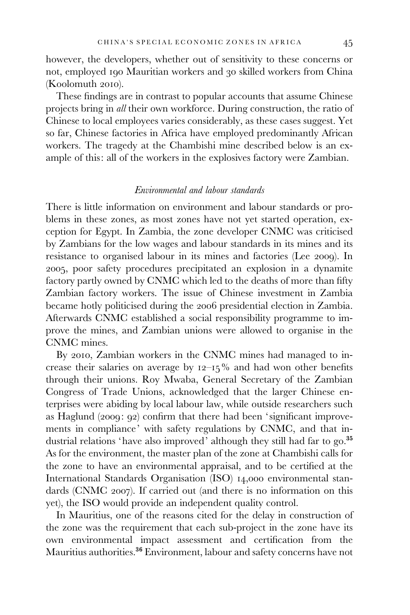however, the developers, whether out of sensitivity to these concerns or not, employed 190 Mauritian workers and 30 skilled workers from China (Koolomuth 2010).

These findings are in contrast to popular accounts that assume Chinese projects bring in all their own workforce. During construction, the ratio of Chinese to local employees varies considerably, as these cases suggest. Yet so far, Chinese factories in Africa have employed predominantly African workers. The tragedy at the Chambishi mine described below is an example of this: all of the workers in the explosives factory were Zambian.

#### Environmental and labour standards

There is little information on environment and labour standards or problems in these zones, as most zones have not yet started operation, exception for Egypt. In Zambia, the zone developer CNMC was criticised by Zambians for the low wages and labour standards in its mines and its resistance to organised labour in its mines and factories (Lee 2009). In 2005, poor safety procedures precipitated an explosion in a dynamite factory partly owned by CNMC which led to the deaths of more than fifty Zambian factory workers. The issue of Chinese investment in Zambia became hotly politicised during the 2006 presidential election in Zambia. Afterwards CNMC established a social responsibility programme to improve the mines, and Zambian unions were allowed to organise in the CNMC mines.

By 2010, Zambian workers in the CNMC mines had managed to increase their salaries on average by  $12-15\%$  and had won other benefits through their unions. Roy Mwaba, General Secretary of the Zambian Congress of Trade Unions, acknowledged that the larger Chinese enterprises were abiding by local labour law, while outside researchers such as Haglund (2009: 92) confirm that there had been ' significant improvements in compliance' with safety regulations by CNMC, and that industrial relations 'have also improved' although they still had far to go.<sup>35</sup> As for the environment, the master plan of the zone at Chambishi calls for the zone to have an environmental appraisal, and to be certified at the International Standards Organisation (ISO) 14,000 environmental standards (CNMC 2007). If carried out (and there is no information on this yet), the ISO would provide an independent quality control.

In Mauritius, one of the reasons cited for the delay in construction of the zone was the requirement that each sub-project in the zone have its own environmental impact assessment and certification from the Mauritius authorities.<sup>36</sup> Environment, labour and safety concerns have not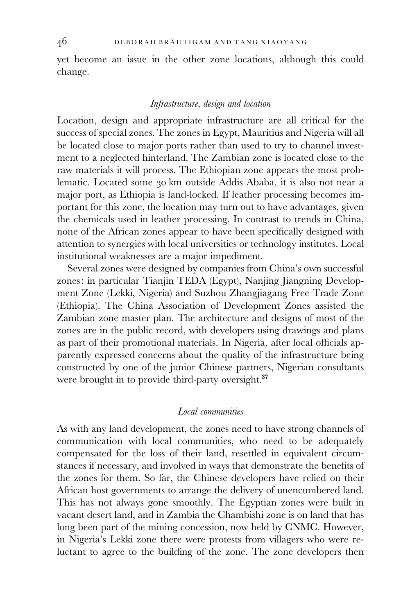yet become an issue in the other zone locations, although this could change.

#### Infrastructure, design and location

Location, design and appropriate infrastructure are all critical for the success of special zones. The zones in Egypt, Mauritius and Nigeria will all be located close to major ports rather than used to try to channel investment to a neglected hinterland. The Zambian zone is located close to the raw materials it will process. The Ethiopian zone appears the most problematic. Located some 30 km outside Addis Ababa, it is also not near a major port, as Ethiopia is land-locked. If leather processing becomes important for this zone, the location may turn out to have advantages, given the chemicals used in leather processing. In contrast to trends in China, none of the African zones appear to have been specifically designed with attention to synergies with local universities or technology institutes. Local institutional weaknesses are a major impediment.

Several zones were designed by companies from China's own successful zones: in particular Tianjin TEDA (Egypt), Nanjing Jiangning Development Zone (Lekki, Nigeria) and Suzhou Zhangjiagang Free Trade Zone (Ethiopia). The China Association of Development Zones assisted the Zambian zone master plan. The architecture and designs of most of the zones are in the public record, with developers using drawings and plans as part of their promotional materials. In Nigeria, after local officials apparently expressed concerns about the quality of the infrastructure being constructed by one of the junior Chinese partners, Nigerian consultants were brought in to provide third-party oversight.<sup>37</sup>

#### Local communities

As with any land development, the zones need to have strong channels of communication with local communities, who need to be adequately compensated for the loss of their land, resettled in equivalent circumstances if necessary, and involved in ways that demonstrate the benefits of the zones for them. So far, the Chinese developers have relied on their African host governments to arrange the delivery of unencumbered land. This has not always gone smoothly. The Egyptian zones were built in vacant desert land, and in Zambia the Chambishi zone is on land that has long been part of the mining concession, now held by CNMC. However, in Nigeria's Lekki zone there were protests from villagers who were reluctant to agree to the building of the zone. The zone developers then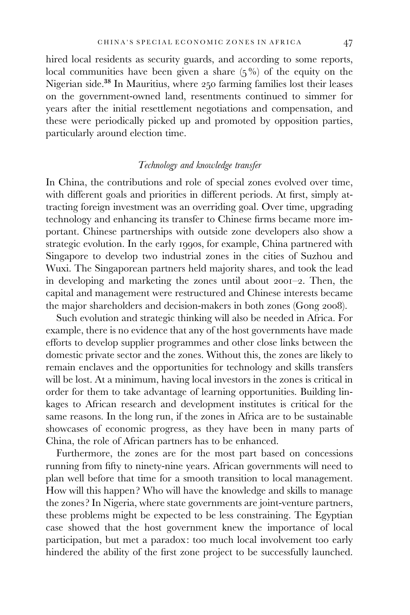hired local residents as security guards, and according to some reports, local communities have been given a share (5%) of the equity on the Nigerian side.<sup>38</sup> In Mauritius, where 250 farming families lost their leases on the government-owned land, resentments continued to simmer for years after the initial resettlement negotiations and compensation, and these were periodically picked up and promoted by opposition parties, particularly around election time.

#### Technology and knowledge transfer

In China, the contributions and role of special zones evolved over time, with different goals and priorities in different periods. At first, simply attracting foreign investment was an overriding goal. Over time, upgrading technology and enhancing its transfer to Chinese firms became more important. Chinese partnerships with outside zone developers also show a strategic evolution. In the early 1990s, for example, China partnered with Singapore to develop two industrial zones in the cities of Suzhou and Wuxi. The Singaporean partners held majority shares, and took the lead in developing and marketing the zones until about 2001–2. Then, the capital and management were restructured and Chinese interests became the major shareholders and decision-makers in both zones (Gong 2008).

Such evolution and strategic thinking will also be needed in Africa. For example, there is no evidence that any of the host governments have made efforts to develop supplier programmes and other close links between the domestic private sector and the zones. Without this, the zones are likely to remain enclaves and the opportunities for technology and skills transfers will be lost. At a minimum, having local investors in the zones is critical in order for them to take advantage of learning opportunities. Building linkages to African research and development institutes is critical for the same reasons. In the long run, if the zones in Africa are to be sustainable showcases of economic progress, as they have been in many parts of China, the role of African partners has to be enhanced.

Furthermore, the zones are for the most part based on concessions running from fifty to ninety-nine years. African governments will need to plan well before that time for a smooth transition to local management. How will this happen? Who will have the knowledge and skills to manage the zones ? In Nigeria, where state governments are joint-venture partners, these problems might be expected to be less constraining. The Egyptian case showed that the host government knew the importance of local participation, but met a paradox: too much local involvement too early hindered the ability of the first zone project to be successfully launched.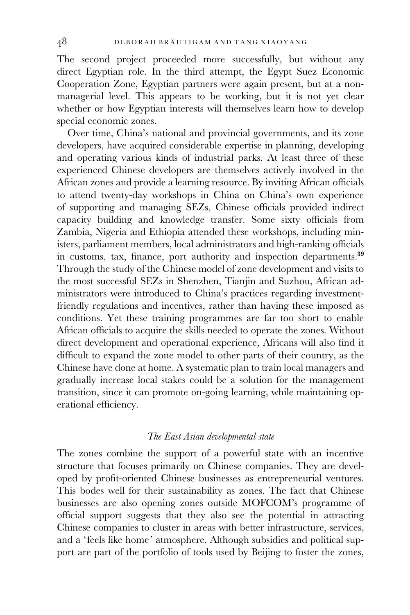The second project proceeded more successfully, but without any direct Egyptian role. In the third attempt, the Egypt Suez Economic Cooperation Zone, Egyptian partners were again present, but at a nonmanagerial level. This appears to be working, but it is not yet clear whether or how Egyptian interests will themselves learn how to develop special economic zones.

Over time, China's national and provincial governments, and its zone developers, have acquired considerable expertise in planning, developing and operating various kinds of industrial parks. At least three of these experienced Chinese developers are themselves actively involved in the African zones and provide a learning resource. By inviting African officials to attend twenty-day workshops in China on China's own experience of supporting and managing SEZs, Chinese officials provided indirect capacity building and knowledge transfer. Some sixty officials from Zambia, Nigeria and Ethiopia attended these workshops, including ministers, parliament members, local administrators and high-ranking officials in customs, tax, finance, port authority and inspection departments.<sup>39</sup> Through the study of the Chinese model of zone development and visits to the most successful SEZs in Shenzhen, Tianjin and Suzhou, African administrators were introduced to China's practices regarding investmentfriendly regulations and incentives, rather than having these imposed as conditions. Yet these training programmes are far too short to enable African officials to acquire the skills needed to operate the zones. Without direct development and operational experience, Africans will also find it difficult to expand the zone model to other parts of their country, as the Chinese have done at home. A systematic plan to train local managers and gradually increase local stakes could be a solution for the management transition, since it can promote on-going learning, while maintaining operational efficiency.

#### The East Asian developmental state

The zones combine the support of a powerful state with an incentive structure that focuses primarily on Chinese companies. They are developed by profit-oriented Chinese businesses as entrepreneurial ventures. This bodes well for their sustainability as zones. The fact that Chinese businesses are also opening zones outside MOFCOM's programme of official support suggests that they also see the potential in attracting Chinese companies to cluster in areas with better infrastructure, services, and a 'feels like home' atmosphere. Although subsidies and political support are part of the portfolio of tools used by Beijing to foster the zones,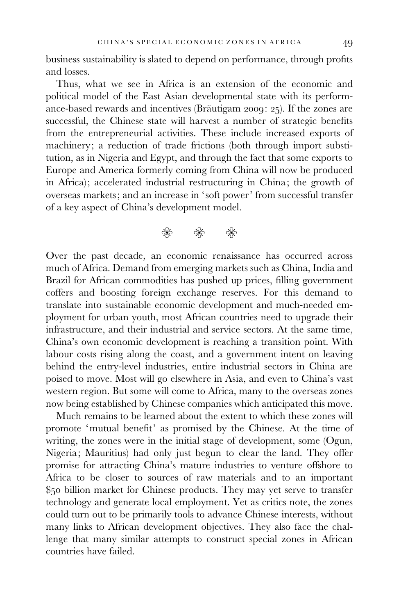business sustainability is slated to depend on performance, through profits and losses.

Thus, what we see in Africa is an extension of the economic and political model of the East Asian developmental state with its performance-based rewards and incentives (Bräutigam 2009: 25). If the zones are successful, the Chinese state will harvest a number of strategic benefits from the entrepreneurial activities. These include increased exports of machinery; a reduction of trade frictions (both through import substitution, as in Nigeria and Egypt, and through the fact that some exports to Europe and America formerly coming from China will now be produced in Africa); accelerated industrial restructuring in China; the growth of overseas markets; and an increase in ' soft power' from successful transfer of a key aspect of China's development model.

\* \* \*

Over the past decade, an economic renaissance has occurred across much of Africa. Demand from emerging markets such as China, India and Brazil for African commodities has pushed up prices, filling government coffers and boosting foreign exchange reserves. For this demand to translate into sustainable economic development and much-needed employment for urban youth, most African countries need to upgrade their infrastructure, and their industrial and service sectors. At the same time, China's own economic development is reaching a transition point. With labour costs rising along the coast, and a government intent on leaving behind the entry-level industries, entire industrial sectors in China are poised to move. Most will go elsewhere in Asia, and even to China's vast western region. But some will come to Africa, many to the overseas zones now being established by Chinese companies which anticipated this move.

Much remains to be learned about the extent to which these zones will promote 'mutual benefit' as promised by the Chinese. At the time of writing, the zones were in the initial stage of development, some (Ogun, Nigeria; Mauritius) had only just begun to clear the land. They offer promise for attracting China's mature industries to venture offshore to Africa to be closer to sources of raw materials and to an important \$50 billion market for Chinese products. They may yet serve to transfer technology and generate local employment. Yet as critics note, the zones could turn out to be primarily tools to advance Chinese interests, without many links to African development objectives. They also face the challenge that many similar attempts to construct special zones in African countries have failed.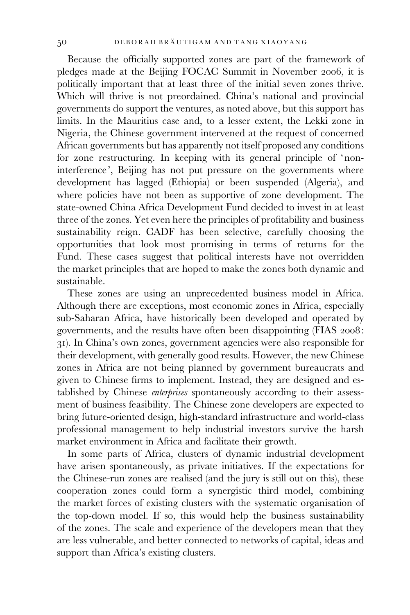Because the officially supported zones are part of the framework of pledges made at the Beijing FOCAC Summit in November 2006, it is politically important that at least three of the initial seven zones thrive. Which will thrive is not preordained. China's national and provincial governments do support the ventures, as noted above, but this support has limits. In the Mauritius case and, to a lesser extent, the Lekki zone in Nigeria, the Chinese government intervened at the request of concerned African governments but has apparently not itself proposed any conditions for zone restructuring. In keeping with its general principle of 'noninterference', Beijing has not put pressure on the governments where development has lagged (Ethiopia) or been suspended (Algeria), and where policies have not been as supportive of zone development. The state-owned China Africa Development Fund decided to invest in at least three of the zones. Yet even here the principles of profitability and business sustainability reign. CADF has been selective, carefully choosing the opportunities that look most promising in terms of returns for the Fund. These cases suggest that political interests have not overridden the market principles that are hoped to make the zones both dynamic and sustainable.

These zones are using an unprecedented business model in Africa. Although there are exceptions, most economic zones in Africa, especially sub-Saharan Africa, have historically been developed and operated by governments, and the results have often been disappointing (FIAS 2008: 31). In China's own zones, government agencies were also responsible for their development, with generally good results. However, the new Chinese zones in Africa are not being planned by government bureaucrats and given to Chinese firms to implement. Instead, they are designed and established by Chinese enterprises spontaneously according to their assessment of business feasibility. The Chinese zone developers are expected to bring future-oriented design, high-standard infrastructure and world-class professional management to help industrial investors survive the harsh market environment in Africa and facilitate their growth.

In some parts of Africa, clusters of dynamic industrial development have arisen spontaneously, as private initiatives. If the expectations for the Chinese-run zones are realised (and the jury is still out on this), these cooperation zones could form a synergistic third model, combining the market forces of existing clusters with the systematic organisation of the top-down model. If so, this would help the business sustainability of the zones. The scale and experience of the developers mean that they are less vulnerable, and better connected to networks of capital, ideas and support than Africa's existing clusters.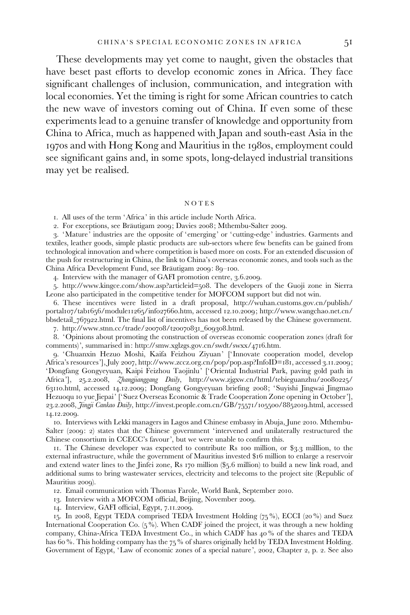These developments may yet come to naught, given the obstacles that have beset past efforts to develop economic zones in Africa. They face significant challenges of inclusion, communication, and integration with local economies. Yet the timing is right for some African countries to catch the new wave of investors coming out of China. If even some of these experiments lead to a genuine transfer of knowledge and opportunity from China to Africa, much as happened with Japan and south-east Asia in the 1970s and with Hong Kong and Mauritius in the 1980s, employment could see significant gains and, in some spots, long-delayed industrial transitions may yet be realised.

#### NOTES

1. All uses of the term 'Africa' in this article include North Africa.

2. For exceptions, see Bräutigam 2009; Davies 2008; Mthembu-Salter 2009.

3. 'Mature' industries are the opposite of 'emerging' or 'cutting-edge' industries. Garments and textiles, leather goods, simple plastic products are sub-sectors where few benefits can be gained from technological innovation and where competition is based more on costs. For an extended discussion of the push for restructuring in China, the link to China's overseas economic zones, and tools such as the China Africa Development Fund, see Bräutigam 2009: 89–100.

4. Interview with the manager of GAFI promotion centre, 3.6.2009.

5. http://www.kingce.com/show.asp?articleid=508. The developers of the Guoji zone in Sierra Leone also participated in the competitive tender for MOFCOM support but did not win.

6. These incentives were listed in a draft proposal, http://wuhan.customs.gov.cn/publish/ portal107/tab1656/module11265/info27660.htm, accessed 12.10.2009; http://www.wangchao.net.cn/ bbsdetail\_767922.html. The final list of incentives has not been released by the Chinese government.

7. http://www.stnn.cc/trade/200708/t20070831\_609308.html.

8. 'Opinions about promoting the construction of overseas economic cooperation zones (draft for comments)', summarised in: http://smw.xglzgs.gov.cn/swdt/swxx/4716.htm.

9. 'Chuanxin Hezuo Moshi, Kaifa Feizhou Ziyuan' [' Innovate cooperation model, develop Africa's resources'], July 2007, http://www.zccz.org.cn/pop/pop.asp?InfoID=181, accessed 3.11.2009; 'Dongfang Gongyeyuan, Kaipi Feizhou Taojinlu' ['Oriental Industrial Park, paving gold path in Africa'], 25.2.2008, Zhangjianggang Daily, http://www.zjgxw.cn/html/tebieguanzhu/20080225/ 63110.html, accessed 14.12.2009; Dongfang Gongyeyuan briefing 2008; 'Suyishi Jingwai Jingmao Hezuoqu 10 yue Jiepai' ['Suez Overseas Economic & Trade Cooperation Zone opening in October'], 23.2.2008, Jingji Cankao Daily, http://invest.people.com.cn/GB/75571/105500/8852019.html, accessed 14.12.2009.

10. Interviews with Lekki managers in Lagos and Chinese embassy in Abuja, June 2010. Mthembu-Salter (2009: 2) states that the Chinese government 'intervened and unilaterally restructured the Chinese consortium in CCECC's favour', but we were unable to confirm this.

11. The Chinese developer was expected to contribute Rs 100 million, or \$3.3 milllion, to the external infrastructure, while the government of Mauritius invested \$16 million to enlarge a reservoir and extend water lines to the Jinfei zone, Rs 170 million (\$5.6 million) to build a new link road, and additional sums to bring wastewater services, electricity and telecoms to the project site (Republic of Mauritius 2009).

12. Email communication with Thomas Farole, World Bank, September 2010.

13. Interview with a MOFCOM official, Beijing, November 2009.

14. Interview, GAFI official, Egypt, 7.11.2009.

15. In 2008, Egypt TEDA comprised TEDA Investment Holding (75%), ECCI (20%) and Suez International Cooperation Co. (5%). When CADF joined the project, it was through a new holding company, China-Africa TEDA Investment Co., in which CADF has 40% of the shares and TEDA has 60%. This holding company has the 75% of shares originally held by TEDA Investment Holding. Government of Egypt, 'Law of economic zones of a special nature', 2002, Chapter 2, p. 2. See also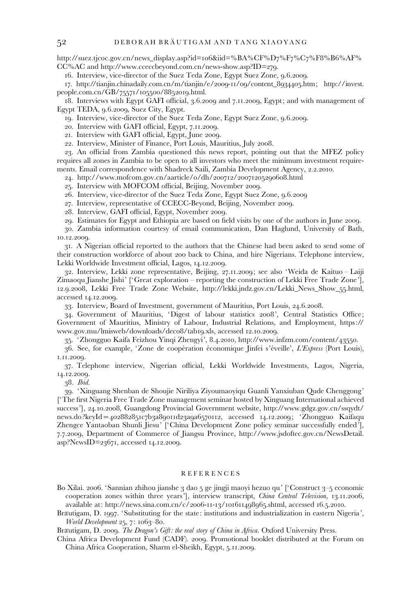http://suez.tjcoc.gov.cn/news\_display.asp?id=106&iid=%BA%CF%D7%F7%C7%F8%B6%AF% CC%AC and http://www.cceccbeyond.com.cn/news-show.asp?ID=279.

16. Interview, vice-director of the Suez Teda Zone, Egypt Suez Zone, 9.6.2009.

17. http://tianjin.chinadaily.com.cn/m/tianjin/e/2009-11/09/content\_8934405.htm; http://invest. people.com.cn/GB/75571/105500/8852019.html.

18. Interviews with Egypt GAFI official, 3.6.2009 and 7.11.2009, Egypt; and with management of Egypt TEDA, 9.6.2009, Suez City, Egypt.

19. Interview, vice-director of the Suez Teda Zone, Egypt Suez Zone, 9.6.2009.

20. Interview with GAFI official, Egypt, 7.11.2009.

21. Interview with GAFI official, Egypt, June 2009.

22. Interview, Minister of Finance, Port Louis, Mauritius, July 2008.

23. An official from Zambia questioned this news report, pointing out that the MFEZ policy requires all zones in Zambia to be open to all investors who meet the minimum investment requirements. Email correspondence with Shadreck Saili, Zambia Development Agency, 2.2.2010.

24. http://www.mofcom.gov.cn/aarticle/o/dh/200712/20071205290608.html

25. Interview with MOFCOM official, Beijing, November 2009.

26. Interview, vice-director of the Suez Teda Zone, Egypt Suez Zone, 9.6.2009

27. Interview, representative of CCECC-Beyond, Beijing, November 2009.

28. Interview, GAFI official, Egypt, November 2009.

29. Estimates for Egypt and Ethiopia are based on field visits by one of the authors in June 2009.

30. Zambia information courtesy of email communication, Dan Haglund, University of Bath, 10.12.2009.

31. A Nigerian official reported to the authors that the Chinese had been asked to send some of their construction workforce of about 200 back to China, and hire Nigerians. Telephone interview, Lekki Worldwide Investment official, Lagos, 14.12.2009.

32. Interview, Lekki zone representative, Beijing, 27.11.2009; see also 'Weida de Kaituo – Laiji Zimaoqu Jianshe Jishi' ['Great exploration – reporting the construction of Lekki Free Trade Zone'], 12.9.2008, Lekki Free Trade Zone Website, http://lekki.jndz.gov.cn/Lekki\_News\_Show\_55.html, accessed 14.12.2009.

33. Interview, Board of Investment, government of Mauritius, Port Louis, 24.6.2008.

34. Government of Mauritius, 'Digest of labour statistics 2008', Central Statistics Office; Government of Mauritius, Ministry of Labour, Industrial Relations, and Employment, https:// www.gov.mu/lmisweb/downloads/dec08/tab19.xls, accessed 12.10.2009.

35. 'Zhongguo Kaifa Feizhou Yinqi Zhengyi', 8.4.2010, http://www.infzm.com/content/43550.

36. See, for example, 'Zone de coopération économique Jinfei s'éveille', L'Express (Port Louis), 1.11.2009.

37. Telephone interview, Nigerian official, Lekki Worldwide Investments, Lagos, Nigeria, 14.12.2009.

38. Ibid.

39. 'Xinguang Shenban de Shoujie Niriliya Ziyoumaoyiqu Guanli Yanxiuban Qude Chenggong' ['The first Nigeria Free Trade Zone management seminar hosted by Xinguang International achieved success'], 24.10.2008, Guangdong Provincial Government website, http://www.gdgz.gov.cn/ssqydt/ news.do?keyId*=*402882851c7b3a89011d23a9a6570112, accessed 14.12.2009; 'Zhongguo Kaifaqu Zhengce Yantaoban Shunli Jiesu' ['China Development Zone policy seminar successfully ended'], 7.7.2009, Department of Commerce of Jiangsu Province, http://www.jsdoftec.gov.cn/NewsDetail. asp?NewsID=23671, accessed 14.12.2009.

#### REFERENCES

Bo Xilai. 2006. 'Sannian zhihou jianshe 3 dao 5 ge jingji maoyi hezuo qu' ['Construct 3–5 economic cooperation zones within three years'], interview transcript, China Central Television, 13.11.2006, available at: http://news.sina.com.cn/c/2006-11-13/101611498965.shtml, accessed 16.5.2010.

Brautigam, D. 1997. 'Substituting for the state: institutions and industrialization in eastern Nigeria', World Development 25, 7: 1063-80.

Brautigam, D. 2009. The Dragon's Gift: the real story of China in Africa. Oxford University Press.

China Africa Development Fund (CADF). 2009. Promotional booklet distributed at the Forum on China Africa Cooperation, Sharm el-Sheikh, Egypt, 5.11.2009.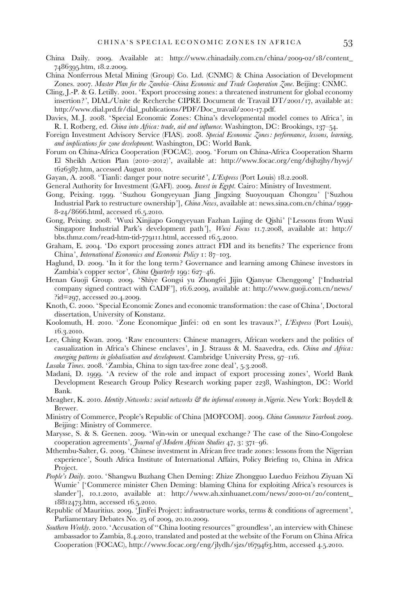- China Daily. 2009. Available at: http://www.chinadaily.com.cn/china/2009-02/18/content\_ 7486395.htm, 18.2.2009.
- China Nonferrous Metal Mining (Group) Co. Ltd. (CNMC) & China Association of Development Zones. 2007. Master Plan for the Zambia–China Economic and Trade Cooperation Zone. Beijing: CNMC.
- Cling, J.-P. & G. Letilly. 2001. 'Export processing zones: a threatened instrument for global economy insertion?', DIAL/Unite de Recherche CIPRE Document de Travail DT/2001/17, available at: http://www.dial.prd.fr/dial\_publications/PDF/Doc\_travail/2001-17.pdf.
- Davies, M. J. 2008. 'Special Economic Zones: China's developmental model comes to Africa', in R. I. Rotberg, ed. China into Africa: trade, aid and influence. Washington, DC: Brookings, 137–54.
- Foreign Investment Advisory Service (FIAS). 2008. Special Economic Zones: performance, lessons, learning, and implications for zone development. Washington, DC: World Bank.
- Forum on China-Africa Cooperation (FOCAC). 2009. 'Forum on China-Africa Cooperation Sharm El Sheikh Action Plan (2010–2012)', available at: http://www.focac.org/eng/dsjbzjhy/hywj/ t626387.htm, accessed August 2010.
- Gayan, A. 2008. 'Tianli: danger pour notre securité', L'Express (Port Louis) 18.2.2008.
- General Authority for Investment (GAFI). 2009. *Invest in Egypt*. Cairo: Ministry of Investment.
- Gong, Peixing. 1999. 'Suzhou Gongyeyuan Jiang Jingxing Suoyouquan Chongzu' ['Suzhou Industrial Park to restructure ownership'], China News, available at: news.sina.com.cn/china/1999- 8-24/8666.html, accessed 16.5.2010.
- Gong, Peixing. 2008. 'Wuxi Xinjiapo Gongyeyuan Fazhan Lujing de Qishi' ['Lessons from Wuxi Singapore Industrial Park's development path'], Wuxi Focus 11.7.2008, available at: http:// bbs.thmz.com/read-htm-tid-779111.html, accessed 16.5.2010.
- Graham, E. 2004. 'Do export processing zones attract FDI and its benefits? The experience from China', International Economics and Economic Policy 1: 87–103.
- Haglund, D. 2009. 'In it for the long term? Governance and learning among Chinese investors in Zambia's copper sector', China Quarterly 199: 627–46.
- Henan Guoji Group. 2009. 'Shiye Gongsi yu Zhongfei Jijin Qianyue Chenggong' [' Industrial company signed contract with CADF'], 16.6.2009, available at: http://www.guoji.com.cn/news/ ?id=297, accessed 20.4.2009.
- Knoth, C. 2000. 'Special Economic Zones and economic transformation: the case of China', Doctoral dissertation, University of Konstanz.
- Koolomuth, H. 2010. 'Zone Economique Jinfei: ou` en sont les travaux?', L'Express (Port Louis), 16.3.2010.
- Lee, Ching Kwan. 2009. 'Raw encounters: Chinese managers, African workers and the politics of casualization in Africa's Chinese enclaves', in J. Strauss & M. Saavedra, eds. China and Africa: emerging patterns in globalisation and development. Cambridge University Press, 97–116.
- Lusaka Times. 2008. 'Zambia, China to sign tax-free zone deal', 5.3.2008.
- Madani, D. 1999. 'A review of the role and impact of export processing zones', World Bank Development Research Group Policy Research working paper 2238, Washington, DC: World Bank.
- Meagher, K. 2010. Identity Networks: social networks & the informal economy in Nigeria. New York: Boydell & Brewer.
- Ministry of Commerce, People's Republic of China [MOFCOM]. 2009. China Commerce Yearbook 2009. Beijing: Ministry of Commerce.
- Marysse, S. & S. Geenen. 2009. 'Win-win or unequal exchange ? The case of the Sino-Congolese cooperation agreements', Journal of Modern African Studies 47, 3: 371–96.
- Mthembu-Salter, G. 2009. 'Chinese investment in African free trade zones: lessons from the Nigerian experience', South Africa Institute of International Affairs, Policy Briefing 10, China in Africa Project.
- People's Daily. 2010. 'Shangwu Buzhang Chen Deming: Zhize Zhongguo Lueduo Feizhou Ziyuan Xi Wumie' ['Commerce minister Chen Deming: blaming China for exploiting Africa's resources is slander'], 10.1.2010, available at: http://www.ah.xinhuanet.com/news/2010-01/20/content\_ 18812473.htm, accessed 16.5.2010.
- Republic of Mauritius. 2009. ' JinFei Project: infrastructure works, terms & conditions of agreement', Parliamentary Debates No. 25 of 2009, 20.10.2009.
- Southern Weekly. 2010. 'Accusation of ''China looting resources'' groundless', an interview with Chinese ambassador to Zambia, 8.4.2010, translated and posted at the website of the Forum on China Africa Cooperation (FOCAC), http://www.focac.org/eng/jlydh/sjzs/t679463.htm, accessed 4.5.2010.